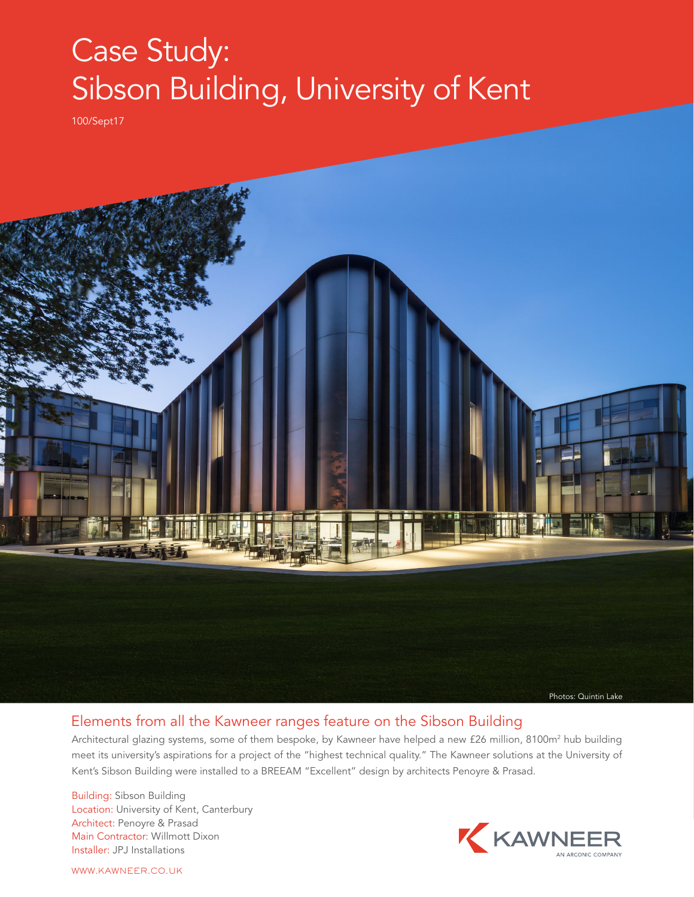## Case Study: Sibson Building, University of Kent

100/Sept17



## Elements from all the Kawneer ranges feature on the Sibson Building

Architectural glazing systems, some of them bespoke, by Kawneer have helped a new £26 million, 8100m<sup>2</sup> hub building meet its university's aspirations for a project of the "highest technical quality." The Kawneer solutions at the University of Kent's Sibson Building were installed to a BREEAM "Excellent" design by architects Penoyre & Prasad.

Building: Sibson Building Location: University of Kent, Canterbury Architect: Penoyre & Prasad Main Contractor: Willmott Dixon Installer: JPJ Installations



WWW.KAWNEER.CO.UK